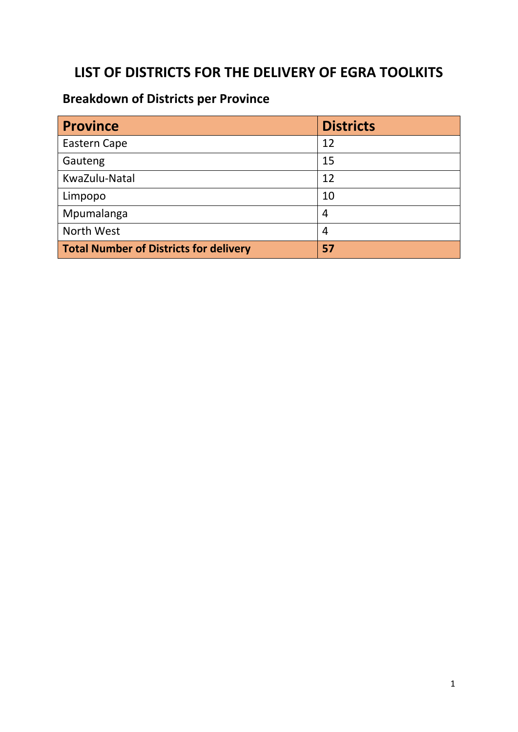## **LIST OF DISTRICTS FOR THE DELIVERY OF EGRA TOOLKITS**

## **Breakdown of Districts per Province**

| <b>Province</b>                               | <b>Districts</b> |
|-----------------------------------------------|------------------|
| Eastern Cape                                  | 12               |
| Gauteng                                       | 15               |
| KwaZulu-Natal                                 | 12               |
| Limpopo                                       | 10               |
| Mpumalanga                                    | 4                |
| North West                                    | 4                |
| <b>Total Number of Districts for delivery</b> | 57               |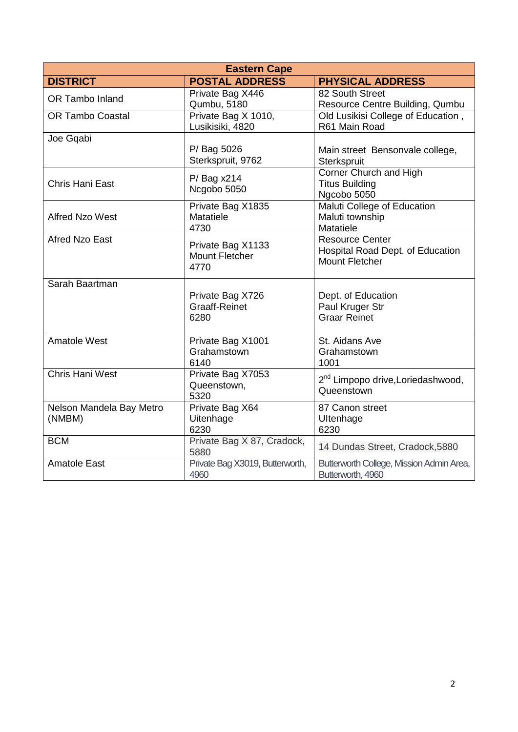| <b>Eastern Cape</b>      |                                                    |                                                                                     |
|--------------------------|----------------------------------------------------|-------------------------------------------------------------------------------------|
| <b>DISTRICT</b>          | <b>POSTAL ADDRESS</b>                              | <b>PHYSICAL ADDRESS</b>                                                             |
| OR Tambo Inland          | Private Bag X446                                   | 82 South Street                                                                     |
|                          | Qumbu, 5180                                        | Resource Centre Building, Qumbu                                                     |
| <b>OR Tambo Coastal</b>  | Private Bag X 1010,<br>Lusikisiki, 4820            | Old Lusikisi College of Education,<br>R61 Main Road                                 |
| Joe Gqabi                |                                                    |                                                                                     |
|                          | P/ Bag 5026<br>Sterkspruit, 9762                   | Main street Bensonvale college,<br>Sterkspruit                                      |
| Chris Hani East          | P/ Bag x214<br>Ncgobo 5050                         | Corner Church and High<br><b>Titus Building</b><br>Ngcobo 5050                      |
| <b>Alfred Nzo West</b>   | Private Bag X1835<br>Matatiele<br>4730             | Maluti College of Education<br>Maluti township<br>Matatiele                         |
| <b>Afred Nzo East</b>    | Private Bag X1133<br><b>Mount Fletcher</b><br>4770 | <b>Resource Center</b><br>Hospital Road Dept. of Education<br><b>Mount Fletcher</b> |
| Sarah Baartman           |                                                    |                                                                                     |
|                          | Private Bag X726                                   | Dept. of Education                                                                  |
|                          | <b>Graaff-Reinet</b>                               | Paul Kruger Str                                                                     |
|                          | 6280                                               | <b>Graar Reinet</b>                                                                 |
| <b>Amatole West</b>      | Private Bag X1001                                  | St. Aidans Ave                                                                      |
|                          | Grahamstown                                        | Grahamstown                                                                         |
|                          | 6140                                               | 1001                                                                                |
| <b>Chris Hani West</b>   | Private Bag X7053                                  | 2 <sup>nd</sup> Limpopo drive, Loriedashwood,                                       |
|                          | Queenstown,<br>5320                                | Queenstown                                                                          |
| Nelson Mandela Bay Metro | Private Bag X64                                    | 87 Canon street                                                                     |
| (NMBM)                   | Uitenhage                                          | Ultenhage                                                                           |
|                          | 6230                                               | 6230                                                                                |
| <b>BCM</b>               | Private Bag X 87, Cradock,<br>5880                 | 14 Dundas Street, Cradock, 5880                                                     |
| <b>Amatole East</b>      | Private Bag X3019, Butterworth,<br>4960            | Butterworth College, Mission Admin Area,<br>Butterworth, 4960                       |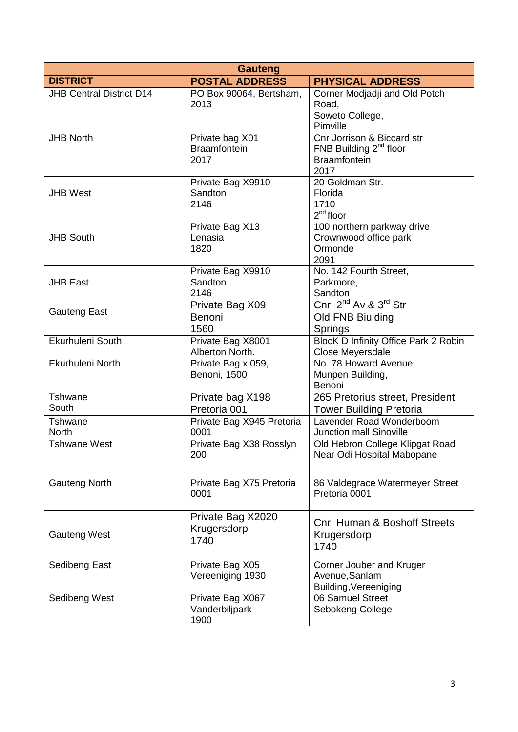| <b>Gauteng</b>                  |                           |                                               |
|---------------------------------|---------------------------|-----------------------------------------------|
| <b>DISTRICT</b>                 | <b>POSTAL ADDRESS</b>     | <b>PHYSICAL ADDRESS</b>                       |
| <b>JHB Central District D14</b> | PO Box 90064, Bertsham,   | Corner Modjadji and Old Potch                 |
|                                 | 2013                      | Road,                                         |
|                                 |                           | Soweto College,                               |
|                                 |                           | Pimville                                      |
| <b>JHB North</b>                | Private bag X01           | Cnr Jorrison & Biccard str                    |
|                                 | <b>Braamfontein</b>       | FNB Building $2^{nd}$ floor                   |
|                                 | 2017                      | <b>Braamfontein</b>                           |
|                                 |                           | 2017                                          |
|                                 | Private Bag X9910         | 20 Goldman Str.                               |
| <b>JHB West</b>                 | Sandton                   | Florida                                       |
|                                 | 2146                      | 1710                                          |
|                                 |                           | $2nd$ floor                                   |
|                                 | Private Bag X13           | 100 northern parkway drive                    |
| <b>JHB South</b>                | Lenasia                   | Crownwood office park                         |
|                                 | 1820                      | Ormonde                                       |
|                                 |                           | 2091                                          |
|                                 | Private Bag X9910         | No. 142 Fourth Street,                        |
| <b>JHB East</b>                 | Sandton                   | Parkmore,                                     |
|                                 | 2146                      | Sandton                                       |
| <b>Gauteng East</b>             | Private Bag X09           | Cnr. 2 <sup>nd</sup> Av & 3 <sup>rd</sup> Str |
|                                 | Benoni                    | Old FNB Biulding                              |
|                                 | 1560                      | Springs                                       |
| Ekurhuleni South                | Private Bag X8001         | BlocK D Infinity Office Park 2 Robin          |
|                                 | Alberton North.           | Close Meyersdale                              |
| Ekurhuleni North                | Private Bag x 059,        | No. 78 Howard Avenue,                         |
|                                 | Benoni, 1500              | Munpen Building,                              |
|                                 |                           | Benoni                                        |
| Tshwane                         | Private bag X198          | 265 Pretorius street, President               |
| South                           | Pretoria 001              | <b>Tower Building Pretoria</b>                |
| Tshwane                         | Private Bag X945 Pretoria | Lavender Road Wonderboom                      |
| <b>North</b>                    | 0001                      | <b>Junction mall Sinoville</b>                |
| <b>Tshwane West</b>             | Private Bag X38 Rosslyn   | Old Hebron College Klipgat Road               |
|                                 | 200                       | Near Odi Hospital Mabopane                    |
|                                 |                           |                                               |
| <b>Gauteng North</b>            | Private Bag X75 Pretoria  | 86 Valdegrace Watermeyer Street               |
|                                 | 0001                      | Pretoria 0001                                 |
|                                 |                           |                                               |
|                                 | Private Bag X2020         |                                               |
|                                 | Krugersdorp               | Cnr. Human & Boshoff Streets                  |
| <b>Gauteng West</b>             | 1740                      | Krugersdorp                                   |
|                                 |                           | 1740                                          |
|                                 |                           |                                               |
| Sedibeng East                   | Private Bag X05           | Corner Jouber and Kruger                      |
|                                 | Vereeniging 1930          | Avenue, Sanlam                                |
|                                 |                           | Building, Vereeniging                         |
| Sedibeng West                   | Private Bag X067          | 06 Samuel Street                              |
|                                 | Vanderbiljpark            | Sebokeng College                              |
|                                 | 1900                      |                                               |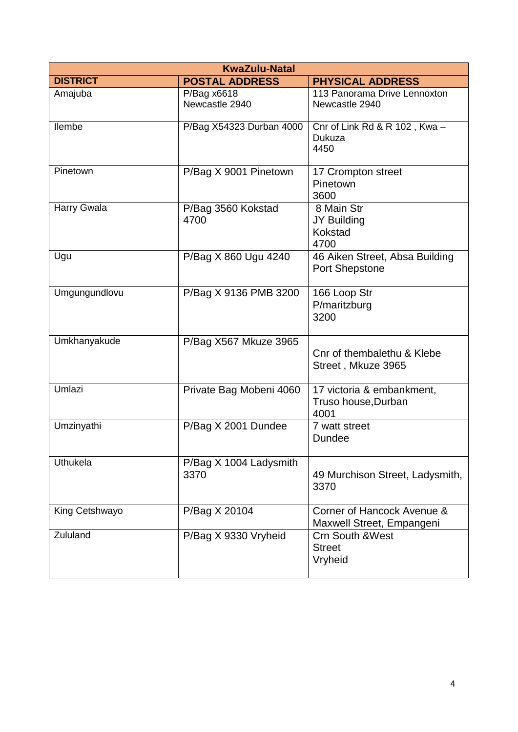| <b>KwaZulu-Natal</b> |                                  |                                                          |
|----------------------|----------------------------------|----------------------------------------------------------|
| <b>DISTRICT</b>      | <b>POSTAL ADDRESS</b>            | <b>PHYSICAL ADDRESS</b>                                  |
| Amajuba              | $P/B$ ag x6618<br>Newcastle 2940 | 113 Panorama Drive Lennoxton<br>Newcastle 2940           |
| <b>Ilembe</b>        | P/Bag X54323 Durban 4000         | Cnr of Link Rd & R 102, Kwa-<br>Dukuza<br>4450           |
| Pinetown             | P/Bag X 9001 Pinetown            | 17 Crompton street<br>Pinetown<br>3600                   |
| Harry Gwala          | P/Bag 3560 Kokstad<br>4700       | 8 Main Str<br>JY Building<br>Kokstad<br>4700             |
| Ugu                  | P/Bag X 860 Ugu 4240             | 46 Aiken Street, Absa Building<br>Port Shepstone         |
| Umgungundlovu        | P/Bag X 9136 PMB 3200            | 166 Loop Str<br>P/maritzburg<br>3200                     |
| Umkhanyakude         | P/Bag X567 Mkuze 3965            | Cnr of thembalethu & Klebe<br>Street, Mkuze 3965         |
| Umlazi               | Private Bag Mobeni 4060          | 17 victoria & embankment,<br>Truso house, Durban<br>4001 |
| Umzinyathi           | P/Bag X 2001 Dundee              | 7 watt street<br><b>Dundee</b>                           |
| <b>Uthukela</b>      | P/Bag X 1004 Ladysmith<br>3370   | 49 Murchison Street, Ladysmith,<br>3370                  |
| King Cetshwayo       | P/Bag X 20104                    | Corner of Hancock Avenue &<br>Maxwell Street, Empangeni  |
| Zululand             | P/Bag X 9330 Vryheid             | <b>Crn South &amp; West</b><br><b>Street</b><br>Vryheid  |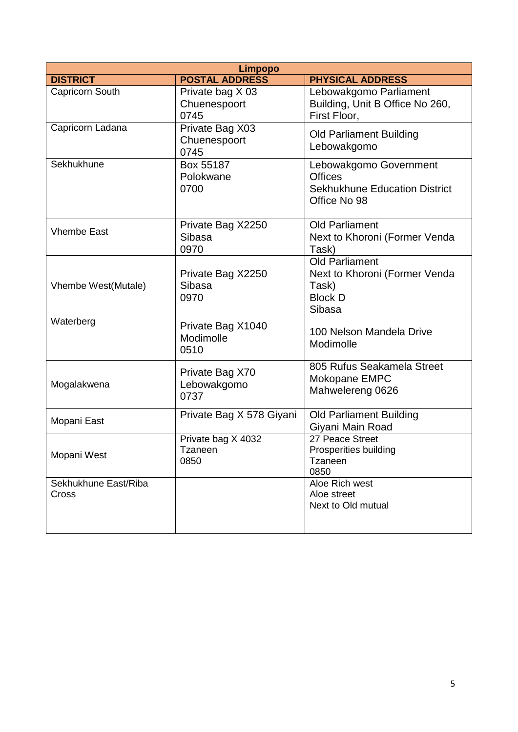| <b>Limpopo</b>                |                                          |                                                                                                  |
|-------------------------------|------------------------------------------|--------------------------------------------------------------------------------------------------|
| <b>DISTRICT</b>               | <b>POSTAL ADDRESS</b>                    | <b>PHYSICAL ADDRESS</b>                                                                          |
| Capricorn South               | Private bag X 03<br>Chuenespoort<br>0745 | Lebowakgomo Parliament<br>Building, Unit B Office No 260,<br>First Floor.                        |
| Capricorn Ladana              | Private Bag X03<br>Chuenespoort<br>0745  | <b>Old Parliament Building</b><br>Lebowakgomo                                                    |
| Sekhukhune                    | Box 55187<br>Polokwane<br>0700           | Lebowakgomo Government<br><b>Offices</b><br><b>Sekhukhune Education District</b><br>Office No 98 |
| <b>Vhembe East</b>            | Private Bag X2250<br>Sibasa<br>0970      | <b>Old Parliament</b><br>Next to Khoroni (Former Venda<br>Task)                                  |
| Vhembe West(Mutale)           | Private Bag X2250<br>Sibasa<br>0970      | <b>Old Parliament</b><br>Next to Khoroni (Former Venda<br>Task)<br><b>Block D</b><br>Sibasa      |
| Waterberg                     | Private Bag X1040<br>Modimolle<br>0510   | 100 Nelson Mandela Drive<br>Modimolle                                                            |
| Mogalakwena                   | Private Bag X70<br>Lebowakgomo<br>0737   | 805 Rufus Seakamela Street<br>Mokopane EMPC<br>Mahwelereng 0626                                  |
| Mopani East                   | Private Bag X 578 Giyani                 | <b>Old Parliament Building</b><br>Giyani Main Road                                               |
| Mopani West                   | Private bag X 4032<br>Tzaneen<br>0850    | 27 Peace Street<br>Prosperities building<br>Tzaneen<br>0850                                      |
| Sekhukhune East/Riba<br>Cross |                                          | Aloe Rich west<br>Aloe street<br>Next to Old mutual                                              |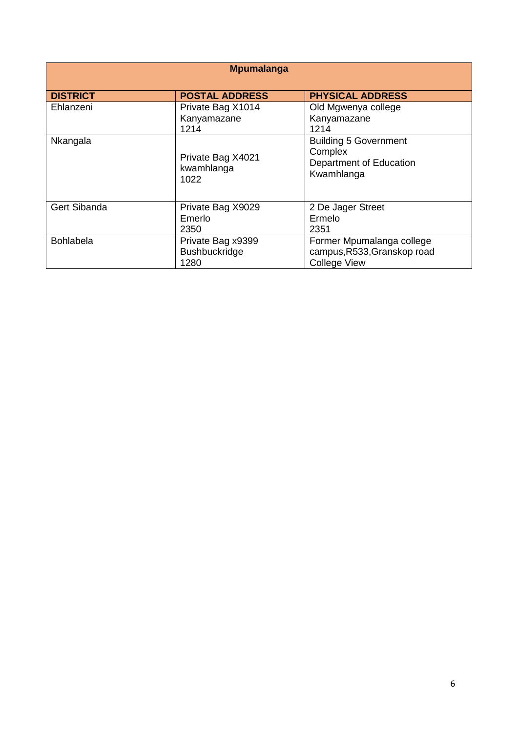| <b>Mpumalanga</b>   |                                                   |                                                                                  |
|---------------------|---------------------------------------------------|----------------------------------------------------------------------------------|
| <b>DISTRICT</b>     | <b>POSTAL ADDRESS</b>                             | <b>PHYSICAL ADDRESS</b>                                                          |
| Ehlanzeni           | Private Bag X1014<br>Kanyamazane<br>1214          | Old Mgwenya college<br>Kanyamazane<br>1214                                       |
| Nkangala            | Private Bag X4021<br>kwamhlanga<br>1022           | <b>Building 5 Government</b><br>Complex<br>Department of Education<br>Kwamhlanga |
| <b>Gert Sibanda</b> | Private Bag X9029<br>Emerlo<br>2350               | 2 De Jager Street<br>Ermelo<br>2351                                              |
| <b>Bohlabela</b>    | Private Bag x9399<br><b>Bushbuckridge</b><br>1280 | Former Mpumalanga college<br>campus, R533, Granskop road<br><b>College View</b>  |